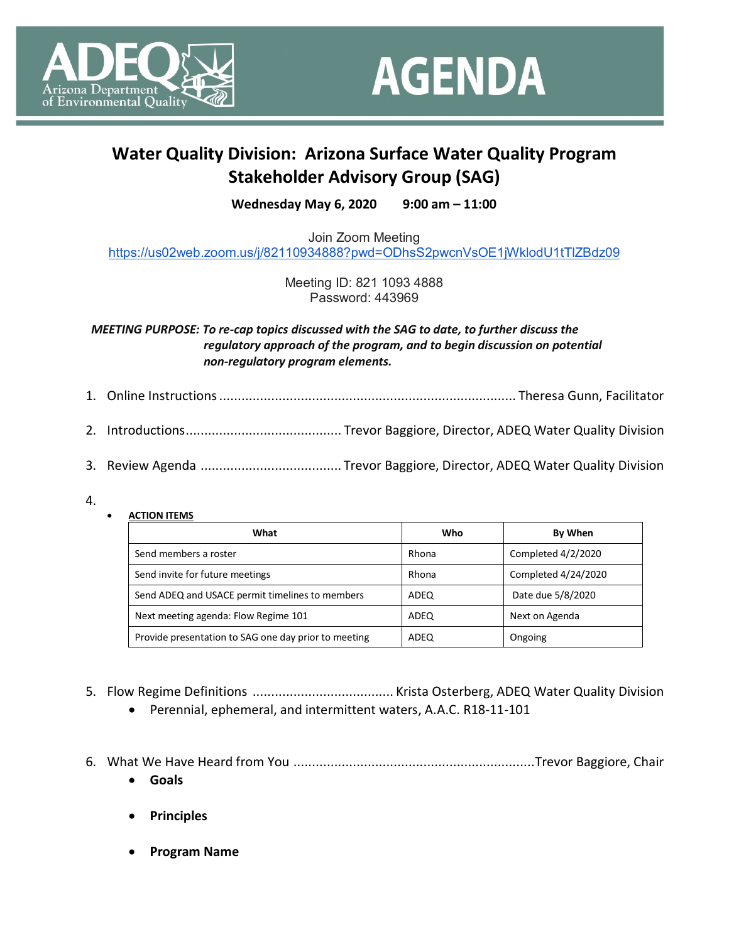



## **Water Quality Division: Arizona Surface Water Quality Program Stakeholder Advisory Group (SAG)**

**Wednesday May 6, 2020 9:00 am – 11:00**

Join Zoom Meeting <https://us02web.zoom.us/j/82110934888?pwd=ODhsS2pwcnVsOE1jWklodU1tTlZBdz09>

> Meeting ID: 821 1093 4888 Password: 443969

*MEETING PURPOSE: To re-cap topics discussed with the SAG to date, to further discuss the regulatory approach of the program, and to begin discussion on potential non-regulatory program elements.* 

- 1. Online Instructions................................................................................ Theresa Gunn, Facilitator
- 2. Introductions.......................................... Trevor Baggiore, Director, ADEQ Water Quality Division
- 3. Review Agenda ...................................... Trevor Baggiore, Director, ADEQ Water Quality Division
- 4.
- **ACTION ITEMS**

| What                                                 | Who   | By When             |
|------------------------------------------------------|-------|---------------------|
| Send members a roster                                | Rhona | Completed 4/2/2020  |
| Send invite for future meetings                      | Rhona | Completed 4/24/2020 |
| Send ADEQ and USACE permit timelines to members      | ADEQ  | Date due 5/8/2020   |
| Next meeting agenda: Flow Regime 101                 | ADEQ  | Next on Agenda      |
| Provide presentation to SAG one day prior to meeting | ADEQ  | Ongoing             |

- 5. Flow Regime Definitions ...................................... Krista Osterberg, ADEQ Water Quality Division
	- Perennial, ephemeral, and intermittent waters, A.A.C. R18-11-101
- 6. What We Have Heard from You .................................................................Trevor Baggiore, Chair
	- **Goals**
	- **Principles**
	- **Program Name**